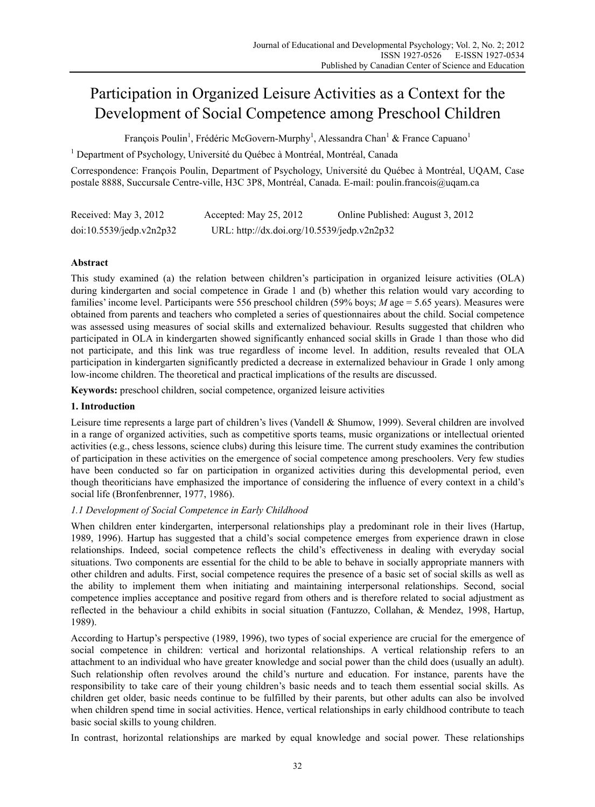# Participation in Organized Leisure Activities as a Context for the Development of Social Competence among Preschool Children

François Poulin<sup>1</sup>, Frédéric McGovern-Murphy<sup>1</sup>, Alessandra Chan<sup>1</sup> & France Capuano<sup>1</sup>

<sup>1</sup> Department of Psychology, Université du Québec à Montréal, Montréal, Canada

Correspondence: François Poulin, Department of Psychology, Université du Québec à Montréal, UQAM, Case postale 8888, Succursale Centre-ville, H3C 3P8, Montréal, Canada. E-mail: poulin.francois@uqam.ca

| Received: May 3, 2012    | Accepted: May $25, 2012$                    | Online Published: August 3, 2012 |
|--------------------------|---------------------------------------------|----------------------------------|
| doi:10.5539/jedp.v2n2p32 | URL: http://dx.doi.org/10.5539/jedp.v2n2p32 |                                  |

# **Abstract**

This study examined (a) the relation between children's participation in organized leisure activities (OLA) during kindergarten and social competence in Grade 1 and (b) whether this relation would vary according to families' income level. Participants were 556 preschool children (59% boys; *M* age = 5.65 years). Measures were obtained from parents and teachers who completed a series of questionnaires about the child. Social competence was assessed using measures of social skills and externalized behaviour. Results suggested that children who participated in OLA in kindergarten showed significantly enhanced social skills in Grade 1 than those who did not participate, and this link was true regardless of income level. In addition, results revealed that OLA participation in kindergarten significantly predicted a decrease in externalized behaviour in Grade 1 only among low-income children. The theoretical and practical implications of the results are discussed.

**Keywords:** preschool children, social competence, organized leisure activities

## **1. Introduction**

Leisure time represents a large part of children's lives (Vandell & Shumow, 1999). Several children are involved in a range of organized activities, such as competitive sports teams, music organizations or intellectual oriented activities (e.g., chess lessons, science clubs) during this leisure time. The current study examines the contribution of participation in these activities on the emergence of social competence among preschoolers. Very few studies have been conducted so far on participation in organized activities during this developmental period, even though theoriticians have emphasized the importance of considering the influence of every context in a child's social life (Bronfenbrenner, 1977, 1986).

# *1.1 Development of Social Competence in Early Childhood*

When children enter kindergarten, interpersonal relationships play a predominant role in their lives (Hartup, 1989, 1996). Hartup has suggested that a child's social competence emerges from experience drawn in close relationships. Indeed, social competence reflects the child's effectiveness in dealing with everyday social situations. Two components are essential for the child to be able to behave in socially appropriate manners with other children and adults. First, social competence requires the presence of a basic set of social skills as well as the ability to implement them when initiating and maintaining interpersonal relationships. Second, social competence implies acceptance and positive regard from others and is therefore related to social adjustment as reflected in the behaviour a child exhibits in social situation (Fantuzzo, Collahan, & Mendez, 1998, Hartup, 1989).

According to Hartup's perspective (1989, 1996), two types of social experience are crucial for the emergence of social competence in children: vertical and horizontal relationships. A vertical relationship refers to an attachment to an individual who have greater knowledge and social power than the child does (usually an adult). Such relationship often revolves around the child's nurture and education. For instance, parents have the responsibility to take care of their young children's basic needs and to teach them essential social skills. As children get older, basic needs continue to be fulfilled by their parents, but other adults can also be involved when children spend time in social activities. Hence, vertical relationships in early childhood contribute to teach basic social skills to young children.

In contrast, horizontal relationships are marked by equal knowledge and social power. These relationships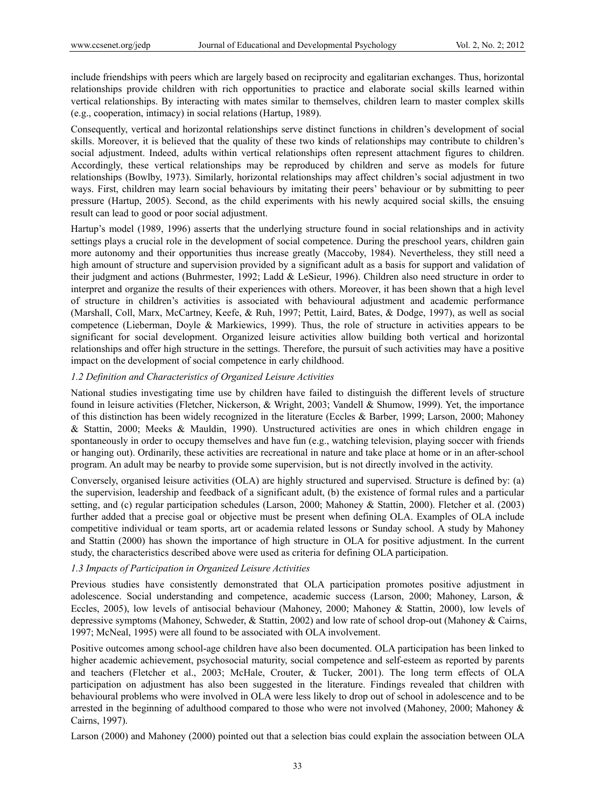include friendships with peers which are largely based on reciprocity and egalitarian exchanges. Thus, horizontal relationships provide children with rich opportunities to practice and elaborate social skills learned within vertical relationships. By interacting with mates similar to themselves, children learn to master complex skills (e.g., cooperation, intimacy) in social relations (Hartup, 1989).

Consequently, vertical and horizontal relationships serve distinct functions in children's development of social skills. Moreover, it is believed that the quality of these two kinds of relationships may contribute to children's social adjustment. Indeed, adults within vertical relationships often represent attachment figures to children. Accordingly, these vertical relationships may be reproduced by children and serve as models for future relationships (Bowlby, 1973). Similarly, horizontal relationships may affect children's social adjustment in two ways. First, children may learn social behaviours by imitating their peers' behaviour or by submitting to peer pressure (Hartup, 2005). Second, as the child experiments with his newly acquired social skills, the ensuing result can lead to good or poor social adjustment.

Hartup's model (1989, 1996) asserts that the underlying structure found in social relationships and in activity settings plays a crucial role in the development of social competence. During the preschool years, children gain more autonomy and their opportunities thus increase greatly (Maccoby, 1984). Nevertheless, they still need a high amount of structure and supervision provided by a significant adult as a basis for support and validation of their judgment and actions (Buhrmester, 1992; Ladd & LeSieur, 1996). Children also need structure in order to interpret and organize the results of their experiences with others. Moreover, it has been shown that a high level of structure in children's activities is associated with behavioural adjustment and academic performance (Marshall, Coll, Marx, McCartney, Keefe, & Ruh, 1997; Pettit, Laird, Bates, & Dodge, 1997), as well as social competence (Lieberman, Doyle & Markiewics, 1999). Thus, the role of structure in activities appears to be significant for social development. Organized leisure activities allow building both vertical and horizontal relationships and offer high structure in the settings. Therefore, the pursuit of such activities may have a positive impact on the development of social competence in early childhood.

## *1.2 Definition and Characteristics of Organized Leisure Activities*

National studies investigating time use by children have failed to distinguish the different levels of structure found in leisure activities (Fletcher, Nickerson, & Wright, 2003; Vandell & Shumow, 1999). Yet, the importance of this distinction has been widely recognized in the literature (Eccles & Barber, 1999; Larson, 2000; Mahoney & Stattin, 2000; Meeks & Mauldin, 1990). Unstructured activities are ones in which children engage in spontaneously in order to occupy themselves and have fun (e.g., watching television, playing soccer with friends or hanging out). Ordinarily, these activities are recreational in nature and take place at home or in an after-school program. An adult may be nearby to provide some supervision, but is not directly involved in the activity.

Conversely, organised leisure activities (OLA) are highly structured and supervised. Structure is defined by: (a) the supervision, leadership and feedback of a significant adult, (b) the existence of formal rules and a particular setting, and (c) regular participation schedules (Larson, 2000; Mahoney & Stattin, 2000). Fletcher et al. (2003) further added that a precise goal or objective must be present when defining OLA. Examples of OLA include competitive individual or team sports, art or academia related lessons or Sunday school. A study by Mahoney and Stattin (2000) has shown the importance of high structure in OLA for positive adjustment. In the current study, the characteristics described above were used as criteria for defining OLA participation.

#### *1.3 Impacts of Participation in Organized Leisure Activities*

Previous studies have consistently demonstrated that OLA participation promotes positive adjustment in adolescence. Social understanding and competence, academic success (Larson, 2000; Mahoney, Larson, & Eccles, 2005), low levels of antisocial behaviour (Mahoney, 2000; Mahoney & Stattin, 2000), low levels of depressive symptoms (Mahoney, Schweder, & Stattin, 2002) and low rate of school drop-out (Mahoney & Cairns, 1997; McNeal, 1995) were all found to be associated with OLA involvement.

Positive outcomes among school-age children have also been documented. OLA participation has been linked to higher academic achievement, psychosocial maturity, social competence and self-esteem as reported by parents and teachers (Fletcher et al., 2003; McHale, Crouter, & Tucker, 2001). The long term effects of OLA participation on adjustment has also been suggested in the literature. Findings revealed that children with behavioural problems who were involved in OLA were less likely to drop out of school in adolescence and to be arrested in the beginning of adulthood compared to those who were not involved (Mahoney, 2000; Mahoney & Cairns, 1997).

Larson (2000) and Mahoney (2000) pointed out that a selection bias could explain the association between OLA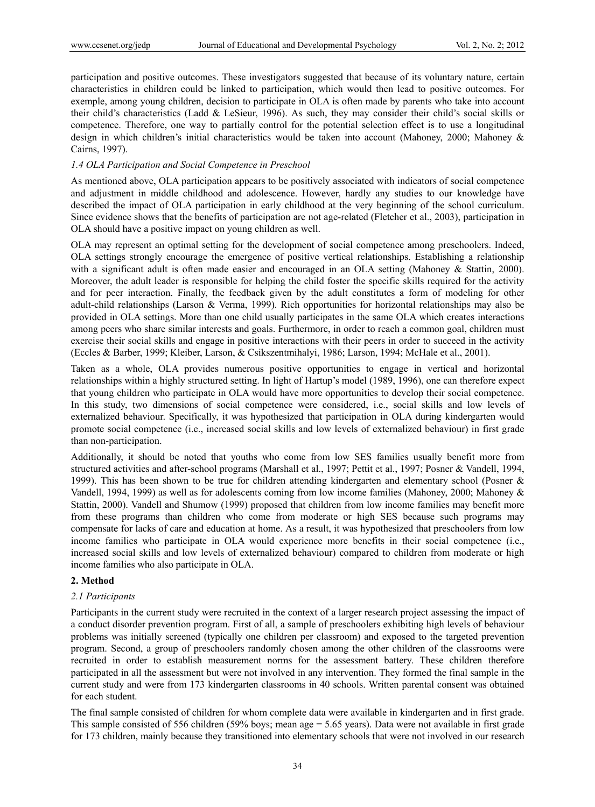participation and positive outcomes. These investigators suggested that because of its voluntary nature, certain characteristics in children could be linked to participation, which would then lead to positive outcomes. For exemple, among young children, decision to participate in OLA is often made by parents who take into account their child's characteristics (Ladd & LeSieur, 1996). As such, they may consider their child's social skills or competence. Therefore, one way to partially control for the potential selection effect is to use a longitudinal design in which children's initial characteristics would be taken into account (Mahoney, 2000; Mahoney & Cairns, 1997).

#### *1.4 OLA Participation and Social Competence in Preschool*

As mentioned above, OLA participation appears to be positively associated with indicators of social competence and adjustment in middle childhood and adolescence. However, hardly any studies to our knowledge have described the impact of OLA participation in early childhood at the very beginning of the school curriculum. Since evidence shows that the benefits of participation are not age-related (Fletcher et al., 2003), participation in OLA should have a positive impact on young children as well.

OLA may represent an optimal setting for the development of social competence among preschoolers. Indeed, OLA settings strongly encourage the emergence of positive vertical relationships. Establishing a relationship with a significant adult is often made easier and encouraged in an OLA setting (Mahoney & Stattin, 2000). Moreover, the adult leader is responsible for helping the child foster the specific skills required for the activity and for peer interaction. Finally, the feedback given by the adult constitutes a form of modeling for other adult-child relationships (Larson & Verma, 1999). Rich opportunities for horizontal relationships may also be provided in OLA settings. More than one child usually participates in the same OLA which creates interactions among peers who share similar interests and goals. Furthermore, in order to reach a common goal, children must exercise their social skills and engage in positive interactions with their peers in order to succeed in the activity (Eccles & Barber, 1999; Kleiber, Larson, & Csikszentmihalyi, 1986; Larson, 1994; McHale et al., 2001).

Taken as a whole, OLA provides numerous positive opportunities to engage in vertical and horizontal relationships within a highly structured setting. In light of Hartup's model (1989, 1996), one can therefore expect that young children who participate in OLA would have more opportunities to develop their social competence. In this study, two dimensions of social competence were considered, i.e., social skills and low levels of externalized behaviour. Specifically, it was hypothesized that participation in OLA during kindergarten would promote social competence (i.e., increased social skills and low levels of externalized behaviour) in first grade than non-participation.

Additionally, it should be noted that youths who come from low SES families usually benefit more from structured activities and after-school programs (Marshall et al., 1997; Pettit et al., 1997; Posner & Vandell, 1994, 1999). This has been shown to be true for children attending kindergarten and elementary school (Posner & Vandell, 1994, 1999) as well as for adolescents coming from low income families (Mahoney, 2000; Mahoney & Stattin, 2000). Vandell and Shumow (1999) proposed that children from low income families may benefit more from these programs than children who come from moderate or high SES because such programs may compensate for lacks of care and education at home. As a result, it was hypothesized that preschoolers from low income families who participate in OLA would experience more benefits in their social competence (i.e., increased social skills and low levels of externalized behaviour) compared to children from moderate or high income families who also participate in OLA.

#### **2. Method**

#### *2.1 Participants*

Participants in the current study were recruited in the context of a larger research project assessing the impact of a conduct disorder prevention program. First of all, a sample of preschoolers exhibiting high levels of behaviour problems was initially screened (typically one children per classroom) and exposed to the targeted prevention program. Second, a group of preschoolers randomly chosen among the other children of the classrooms were recruited in order to establish measurement norms for the assessment battery. These children therefore participated in all the assessment but were not involved in any intervention. They formed the final sample in the current study and were from 173 kindergarten classrooms in 40 schools. Written parental consent was obtained for each student.

The final sample consisted of children for whom complete data were available in kindergarten and in first grade. This sample consisted of 556 children (59% boys; mean age = 5.65 years). Data were not available in first grade for 173 children, mainly because they transitioned into elementary schools that were not involved in our research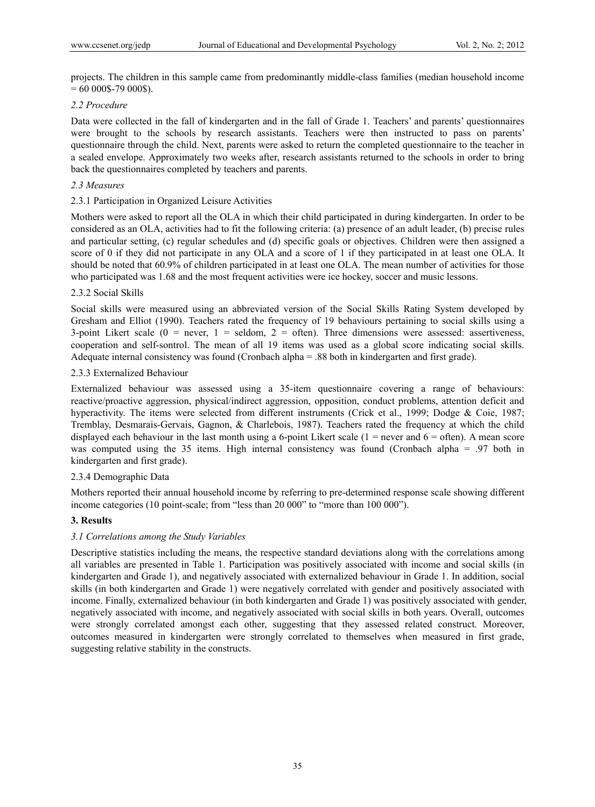projects. The children in this sample came from predominantly middle-class families (median household income  $= 60 000\$  - 79 000\$).

## *2.2 Procedure*

Data were collected in the fall of kindergarten and in the fall of Grade 1. Teachers' and parents' questionnaires were brought to the schools by research assistants. Teachers were then instructed to pass on parents' questionnaire through the child. Next, parents were asked to return the completed questionnaire to the teacher in a sealed envelope. Approximately two weeks after, research assistants returned to the schools in order to bring back the questionnaires completed by teachers and parents.

## *2.3 Measures*

## 2.3.1 Participation in Organized Leisure Activities

Mothers were asked to report all the OLA in which their child participated in during kindergarten. In order to be considered as an OLA, activities had to fit the following criteria: (a) presence of an adult leader, (b) precise rules and particular setting, (c) regular schedules and (d) specific goals or objectives. Children were then assigned a score of 0 if they did not participate in any OLA and a score of 1 if they participated in at least one OLA. It should be noted that 60.9% of children participated in at least one OLA. The mean number of activities for those who participated was 1.68 and the most frequent activities were ice hockey, soccer and music lessons.

## 2.3.2 Social Skills

Social skills were measured using an abbreviated version of the Social Skills Rating System developed by Gresham and Elliot (1990). Teachers rated the frequency of 19 behaviours pertaining to social skills using a 3-point Likert scale  $(0 =$  never,  $1 =$  seldom,  $2 =$  often). Three dimensions were assessed: assertiveness, cooperation and self-sontrol. The mean of all 19 items was used as a global score indicating social skills. Adequate internal consistency was found (Cronbach alpha = .88 both in kindergarten and first grade).

## 2.3.3 Externalized Behaviour

Externalized behaviour was assessed using a 35-item questionnaire covering a range of behaviours: reactive/proactive aggression, physical/indirect aggression, opposition, conduct problems, attention deficit and hyperactivity. The items were selected from different instruments (Crick et al., 1999; Dodge & Coie, 1987; Tremblay, Desmarais-Gervais, Gagnon, & Charlebois, 1987). Teachers rated the frequency at which the child displayed each behaviour in the last month using a 6-point Likert scale ( $1 =$  never and  $6 =$  often). A mean score was computed using the 35 items. High internal consistency was found (Cronbach alpha = .97 both in kindergarten and first grade).

## 2.3.4 Demographic Data

Mothers reported their annual household income by referring to pre-determined response scale showing different income categories (10 point-scale; from "less than 20 000" to "more than 100 000").

## **3. Results**

## *3.1 Correlations among the Study Variables*

Descriptive statistics including the means, the respective standard deviations along with the correlations among all variables are presented in Table 1. Participation was positively associated with income and social skills (in kindergarten and Grade 1), and negatively associated with externalized behaviour in Grade 1. In addition, social skills (in both kindergarten and Grade 1) were negatively correlated with gender and positively associated with income. Finally, externalized behaviour (in both kindergarten and Grade 1) was positively associated with gender, negatively associated with income, and negatively associated with social skills in both years. Overall, outcomes were strongly correlated amongst each other, suggesting that they assessed related construct. Moreover, outcomes measured in kindergarten were strongly correlated to themselves when measured in first grade, suggesting relative stability in the constructs.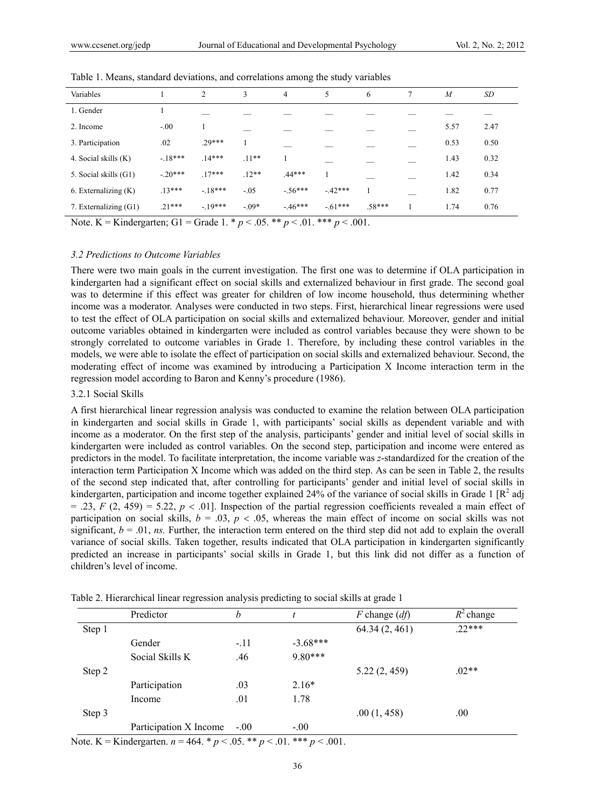| Variables                |          | 2        | 3        | 4         |          | 6        | $\overline{M}$ | SD   |
|--------------------------|----------|----------|----------|-----------|----------|----------|----------------|------|
| 1. Gender                |          |          |          |           |          |          |                |      |
| 2. Income                | $-.00$   |          |          |           |          |          | 5.57           | 2.47 |
| 3. Participation         | .02      | 29***    |          |           |          |          | 0.53           | 0.50 |
| 4. Social skills (K)     | $-18***$ | $14***$  | $.11**$  |           |          |          | 1.43           | 0.32 |
| 5. Social skills (G1)    | $-20***$ | $.17***$ | $.12**$  | $.44***$  |          |          | 1.42           | 0.34 |
| $6.$ Externalizing $(K)$ | $13***$  | $-18***$ | $-.05$   | $-.56***$ | $-42***$ |          | 1.82           | 0.77 |
| 7. Externalizing (G1)    | $.21***$ | $-19***$ | $-0.09*$ | $-46***$  | $-61***$ | $.58***$ | 1.74           | 0.76 |

Table 1. Means, standard deviations, and correlations among the study variables

Note. K = Kindergarten; G1 = Grade 1. \*  $p < .05$ . \*\*  $p < .01$ . \*\*\*  $p < .001$ .

### *3.2 Predictions to Outcome Variables*

There were two main goals in the current investigation. The first one was to determine if OLA participation in kindergarten had a significant effect on social skills and externalized behaviour in first grade. The second goal was to determine if this effect was greater for children of low income household, thus determining whether income was a moderator. Analyses were conducted in two steps. First, hierarchical linear regressions were used to test the effect of OLA participation on social skills and externalized behaviour. Moreover, gender and initial outcome variables obtained in kindergarten were included as control variables because they were shown to be strongly correlated to outcome variables in Grade 1. Therefore, by including these control variables in the models, we were able to isolate the effect of participation on social skills and externalized behaviour. Second, the moderating effect of income was examined by introducing a Participation X Income interaction term in the regression model according to Baron and Kenny's procedure (1986).

#### 3.2.1 Social Skills

A first hierarchical linear regression analysis was conducted to examine the relation between OLA participation in kindergarten and social skills in Grade 1, with participants' social skills as dependent variable and with income as a moderator. On the first step of the analysis, participants' gender and initial level of social skills in kindergarten were included as control variables. On the second step, participation and income were entered as predictors in the model. To facilitate interpretation, the income variable was *z*-standardized for the creation of the interaction term Participation X Income which was added on the third step. As can be seen in Table 2, the results of the second step indicated that, after controlling for participants' gender and initial level of social skills in kindergarten, participation and income together explained 24% of the variance of social skills in Grade 1  $\mathbb{R}^2$  adj  $=$  .23,  $F(2, 459) = 5.22$ ,  $p < .01$ ]. Inspection of the partial regression coefficients revealed a main effect of participation on social skills,  $b = 0.03$ ,  $p < 0.05$ , whereas the main effect of income on social skills was not significant,  $b = .01$ , *ns.* Further, the interaction term entered on the third step did not add to explain the overall variance of social skills. Taken together, results indicated that OLA participation in kindergarten significantly predicted an increase in participants' social skills in Grade 1, but this link did not differ as a function of children's level of income.

|        | $\tilde{}$             |        |            |                   |              |
|--------|------------------------|--------|------------|-------------------|--------------|
|        | Predictor              | b      |            | $F$ change $(df)$ | $R^2$ change |
| Step 1 |                        |        |            | 64.34 (2, 461)    | $22***$      |
|        | Gender                 | $-.11$ | $-3.68***$ |                   |              |
|        | Social Skills K        | .46    | $9.80***$  |                   |              |
| Step 2 |                        |        |            | 5.22(2, 459)      | $.02**$      |
|        | Participation          | .03    | $2.16*$    |                   |              |
|        | Income                 | .01    | 1.78       |                   |              |
| Step 3 |                        |        |            | .00(1, 458)       | .00          |
|        | Participation X Income | $-.00$ | $-.00$     |                   |              |

Table 2. Hierarchical linear regression analysis predicting to social skills at grade 1

Note. K = Kindergarten. *n* = 464. \* *p* < .05. \*\* *p* < .01. \*\*\* *p* < .001.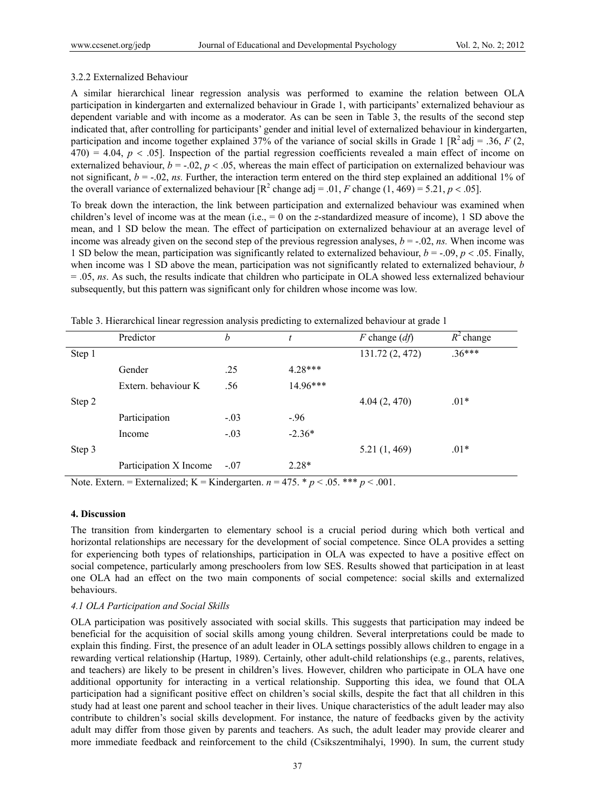#### 3.2.2 Externalized Behaviour

A similar hierarchical linear regression analysis was performed to examine the relation between OLA participation in kindergarten and externalized behaviour in Grade 1, with participants' externalized behaviour as dependent variable and with income as a moderator. As can be seen in Table 3, the results of the second step indicated that, after controlling for participants' gender and initial level of externalized behaviour in kindergarten, participation and income together explained 37% of the variance of social skills in Grade 1 [ $R^2$  adj = .36, *F* (2,  $470$ ) =  $4.04$ ,  $p < .05$ ]. Inspection of the partial regression coefficients revealed a main effect of income on externalized behaviour,  $b = 0.02$ ,  $p < 0.05$ , whereas the main effect of participation on externalized behaviour was not significant,  $b = -.02$ , *ns.* Further, the interaction term entered on the third step explained an additional 1% of the overall variance of externalized behaviour  $[R^2 \text{ change } adj = .01, F \text{ change } (1, 469) = 5.21, p < .05]$ .

To break down the interaction, the link between participation and externalized behaviour was examined when children's level of income was at the mean (i.e., = 0 on the *z*-standardized measure of income), 1 SD above the mean, and 1 SD below the mean. The effect of participation on externalized behaviour at an average level of income was already given on the second step of the previous regression analyses,  $b = -02$ , *ns*. When income was 1 SD below the mean, participation was significantly related to externalized behaviour,  $b = -.09$ ,  $p < .05$ . Finally, when income was 1 SD above the mean, participation was not significantly related to externalized behaviour, *b* = .05, *ns*. As such, the results indicate that children who participate in OLA showed less externalized behaviour subsequently, but this pattern was significant only for children whose income was low.

|        | Predictor              | b      | t         | $F$ change $(df)$ | $R^2$ change |
|--------|------------------------|--------|-----------|-------------------|--------------|
| Step 1 |                        |        |           | 131.72 (2, 472)   | $.36***$     |
|        | Gender                 | .25    | $4.28***$ |                   |              |
|        | Extern, behaviour K    | .56    | 14.96***  |                   |              |
| Step 2 |                        |        |           | 4.04(2, 470)      | $.01*$       |
|        | Participation          | $-.03$ | $-96$     |                   |              |
|        | Income                 | $-.03$ | $-2.36*$  |                   |              |
| Step 3 |                        |        |           | 5.21(1, 469)      | $.01*$       |
|        | Participation X Income | $-.07$ | $2.28*$   |                   |              |

Table 3. Hierarchical linear regression analysis predicting to externalized behaviour at grade 1

Note. Extern. = Externalized; K = Kindergarten. *n* = 475. \* *p* < .05. \*\*\* *p* < .001.

## **4. Discussion**

The transition from kindergarten to elementary school is a crucial period during which both vertical and horizontal relationships are necessary for the development of social competence. Since OLA provides a setting for experiencing both types of relationships, participation in OLA was expected to have a positive effect on social competence, particularly among preschoolers from low SES. Results showed that participation in at least one OLA had an effect on the two main components of social competence: social skills and externalized behaviours.

#### *4.1 OLA Participation and Social Skills*

OLA participation was positively associated with social skills. This suggests that participation may indeed be beneficial for the acquisition of social skills among young children. Several interpretations could be made to explain this finding. First, the presence of an adult leader in OLA settings possibly allows children to engage in a rewarding vertical relationship (Hartup, 1989). Certainly, other adult-child relationships (e.g., parents, relatives, and teachers) are likely to be present in children's lives. However, children who participate in OLA have one additional opportunity for interacting in a vertical relationship. Supporting this idea, we found that OLA participation had a significant positive effect on children's social skills, despite the fact that all children in this study had at least one parent and school teacher in their lives. Unique characteristics of the adult leader may also contribute to children's social skills development. For instance, the nature of feedbacks given by the activity adult may differ from those given by parents and teachers. As such, the adult leader may provide clearer and more immediate feedback and reinforcement to the child (Csikszentmihalyi, 1990). In sum, the current study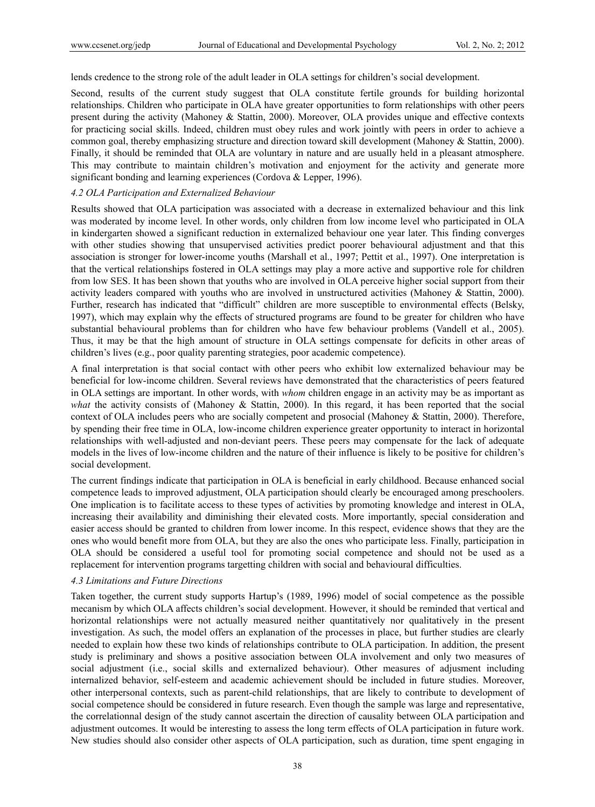lends credence to the strong role of the adult leader in OLA settings for children's social development.

Second, results of the current study suggest that OLA constitute fertile grounds for building horizontal relationships. Children who participate in OLA have greater opportunities to form relationships with other peers present during the activity (Mahoney & Stattin, 2000). Moreover, OLA provides unique and effective contexts for practicing social skills. Indeed, children must obey rules and work jointly with peers in order to achieve a common goal, thereby emphasizing structure and direction toward skill development (Mahoney & Stattin, 2000). Finally, it should be reminded that OLA are voluntary in nature and are usually held in a pleasant atmosphere. This may contribute to maintain children's motivation and enjoyment for the activity and generate more significant bonding and learning experiences (Cordova & Lepper, 1996).

#### *4.2 OLA Participation and Externalized Behaviour*

Results showed that OLA participation was associated with a decrease in externalized behaviour and this link was moderated by income level. In other words, only children from low income level who participated in OLA in kindergarten showed a significant reduction in externalized behaviour one year later. This finding converges with other studies showing that unsupervised activities predict poorer behavioural adjustment and that this association is stronger for lower-income youths (Marshall et al., 1997; Pettit et al., 1997). One interpretation is that the vertical relationships fostered in OLA settings may play a more active and supportive role for children from low SES. It has been shown that youths who are involved in OLA perceive higher social support from their activity leaders compared with youths who are involved in unstructured activities (Mahoney & Stattin, 2000). Further, research has indicated that "difficult" children are more susceptible to environmental effects (Belsky, 1997), which may explain why the effects of structured programs are found to be greater for children who have substantial behavioural problems than for children who have few behaviour problems (Vandell et al., 2005). Thus, it may be that the high amount of structure in OLA settings compensate for deficits in other areas of children's lives (e.g., poor quality parenting strategies, poor academic competence).

A final interpretation is that social contact with other peers who exhibit low externalized behaviour may be beneficial for low-income children. Several reviews have demonstrated that the characteristics of peers featured in OLA settings are important. In other words, with *whom* children engage in an activity may be as important as *what* the activity consists of (Mahoney & Stattin, 2000). In this regard, it has been reported that the social context of OLA includes peers who are socially competent and prosocial (Mahoney & Stattin, 2000). Therefore, by spending their free time in OLA, low-income children experience greater opportunity to interact in horizontal relationships with well-adjusted and non-deviant peers. These peers may compensate for the lack of adequate models in the lives of low-income children and the nature of their influence is likely to be positive for children's social development.

The current findings indicate that participation in OLA is beneficial in early childhood. Because enhanced social competence leads to improved adjustment, OLA participation should clearly be encouraged among preschoolers. One implication is to facilitate access to these types of activities by promoting knowledge and interest in OLA, increasing their availability and diminishing their elevated costs. More importantly, special consideration and easier access should be granted to children from lower income. In this respect, evidence shows that they are the ones who would benefit more from OLA, but they are also the ones who participate less. Finally, participation in OLA should be considered a useful tool for promoting social competence and should not be used as a replacement for intervention programs targetting children with social and behavioural difficulties.

#### *4.3 Limitations and Future Directions*

Taken together, the current study supports Hartup's (1989, 1996) model of social competence as the possible mecanism by which OLA affects children's social development. However, it should be reminded that vertical and horizontal relationships were not actually measured neither quantitatively nor qualitatively in the present investigation. As such, the model offers an explanation of the processes in place, but further studies are clearly needed to explain how these two kinds of relationships contribute to OLA participation. In addition, the present study is preliminary and shows a positive association between OLA involvement and only two measures of social adjustment (i.e., social skills and externalized behaviour). Other measures of adjusment including internalized behavior, self-esteem and academic achievement should be included in future studies. Moreover, other interpersonal contexts, such as parent-child relationships, that are likely to contribute to development of social competence should be considered in future research. Even though the sample was large and representative, the correlationnal design of the study cannot ascertain the direction of causality between OLA participation and adjustment outcomes. It would be interesting to assess the long term effects of OLA participation in future work. New studies should also consider other aspects of OLA participation, such as duration, time spent engaging in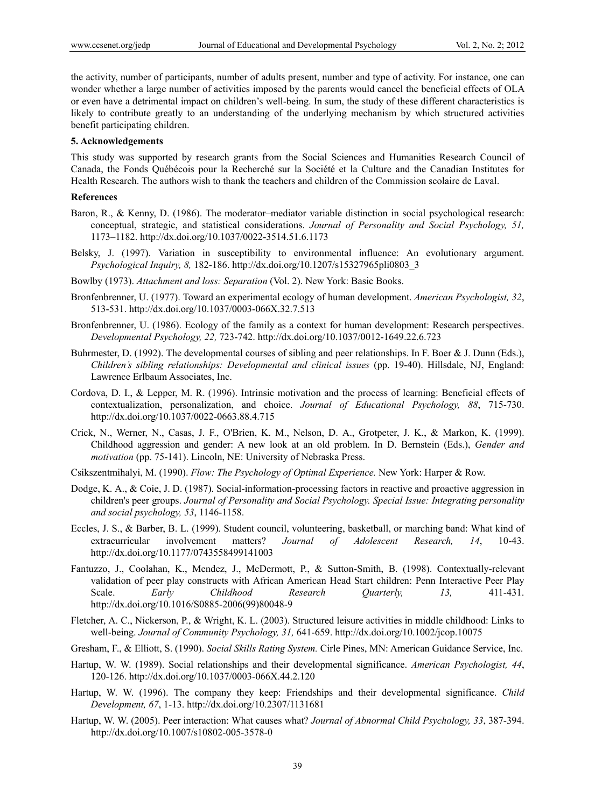the activity, number of participants, number of adults present, number and type of activity. For instance, one can wonder whether a large number of activities imposed by the parents would cancel the beneficial effects of OLA or even have a detrimental impact on children's well-being. In sum, the study of these different characteristics is likely to contribute greatly to an understanding of the underlying mechanism by which structured activities benefit participating children.

#### **5. Acknowledgements**

This study was supported by research grants from the Social Sciences and Humanities Research Council of Canada, the Fonds Québécois pour la Recherché sur la Société et la Culture and the Canadian Institutes for Health Research. The authors wish to thank the teachers and children of the Commission scolaire de Laval.

#### **References**

- Baron, R., & Kenny, D. (1986). The moderator–mediator variable distinction in social psychological research: conceptual, strategic, and statistical considerations. *Journal of Personality and Social Psychology, 51,* 1173–1182. http://dx.doi.org/10.1037/0022-3514.51.6.1173
- Belsky, J. (1997). Variation in susceptibility to environmental influence: An evolutionary argument. *Psychological Inquiry, 8,* 182-186. http://dx.doi.org/10.1207/s15327965pli0803\_3
- Bowlby (1973). *Attachment and loss: Separation* (Vol. 2). New York: Basic Books.
- Bronfenbrenner, U. (1977). Toward an experimental ecology of human development. *American Psychologist, 32*, 513-531. http://dx.doi.org/10.1037/0003-066X.32.7.513
- Bronfenbrenner, U. (1986). Ecology of the family as a context for human development: Research perspectives. *Developmental Psychology, 22,* 723-742. http://dx.doi.org/10.1037/0012-1649.22.6.723
- Buhrmester, D. (1992). The developmental courses of sibling and peer relationships. In F. Boer & J. Dunn (Eds.), *Children's sibling relationships: Developmental and clinical issues* (pp. 19-40). Hillsdale, NJ, England: Lawrence Erlbaum Associates, Inc.
- Cordova, D. I., & Lepper, M. R. (1996). Intrinsic motivation and the process of learning: Beneficial effects of contextualization, personalization, and choice. *Journal of Educational Psychology, 88*, 715-730. http://dx.doi.org/10.1037/0022-0663.88.4.715
- Crick, N., Werner, N., Casas, J. F., O'Brien, K. M., Nelson, D. A., Grotpeter, J. K., & Markon, K. (1999). Childhood aggression and gender: A new look at an old problem. In D. Bernstein (Eds.), *Gender and motivation* (pp. 75-141). Lincoln, NE: University of Nebraska Press.
- Csikszentmihalyi, M. (1990). *Flow: The Psychology of Optimal Experience.* New York: Harper & Row.
- Dodge, K. A., & Coie, J. D. (1987). Social-information-processing factors in reactive and proactive aggression in children's peer groups. *Journal of Personality and Social Psychology. Special Issue: Integrating personality and social psychology, 53*, 1146-1158.
- Eccles, J. S., & Barber, B. L. (1999). Student council, volunteering, basketball, or marching band: What kind of extracurricular involvement matters? *Journal of Adolescent Research, 14*, 10-43. http://dx.doi.org/10.1177/0743558499141003
- Fantuzzo, J., Coolahan, K., Mendez, J., McDermott, P., & Sutton-Smith, B. (1998). Contextually-relevant validation of peer play constructs with African American Head Start children: Penn Interactive Peer Play Scale. *Early Childhood Research Quarterly, 13,* 411-431. http://dx.doi.org/10.1016/S0885-2006(99)80048-9
- Fletcher, A. C., Nickerson, P., & Wright, K. L. (2003). Structured leisure activities in middle childhood: Links to well-being. *Journal of Community Psychology, 31,* 641-659. http://dx.doi.org/10.1002/jcop.10075
- Gresham, F., & Elliott, S. (1990). *Social Skills Rating System.* Cirle Pines, MN: American Guidance Service, Inc.
- Hartup, W. W. (1989). Social relationships and their developmental significance. *American Psychologist, 44*, 120-126. http://dx.doi.org/10.1037/0003-066X.44.2.120
- Hartup, W. W. (1996). The company they keep: Friendships and their developmental significance. *Child Development, 67*, 1-13. http://dx.doi.org/10.2307/1131681
- Hartup, W. W. (2005). Peer interaction: What causes what? *Journal of Abnormal Child Psychology, 33*, 387-394. http://dx.doi.org/10.1007/s10802-005-3578-0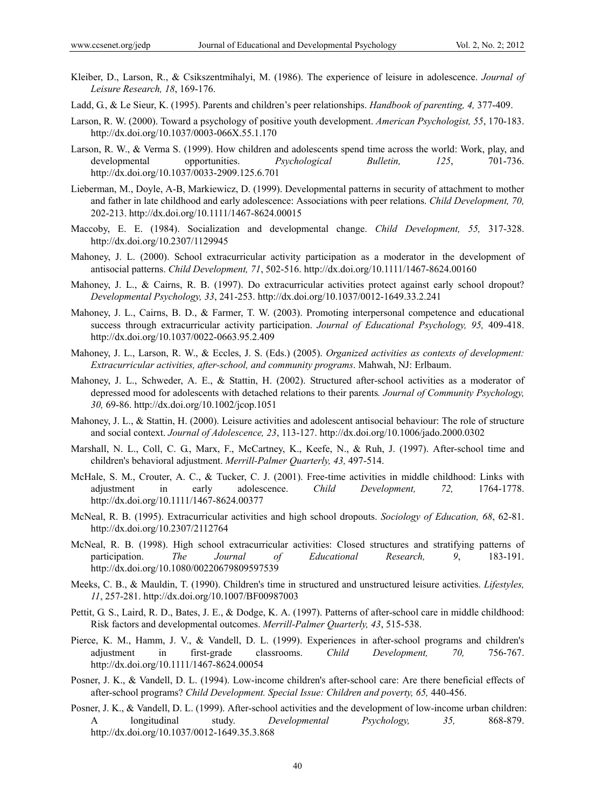- Kleiber, D., Larson, R., & Csikszentmihalyi, M. (1986). The experience of leisure in adolescence. *Journal of Leisure Research, 18*, 169-176.
- Ladd, G., & Le Sieur, K. (1995). Parents and children's peer relationships. *Handbook of parenting, 4,* 377-409.
- Larson, R. W. (2000). Toward a psychology of positive youth development. *American Psychologist, 55*, 170-183. http://dx.doi.org/10.1037/0003-066X.55.1.170
- Larson, R. W., & Verma S. (1999). How children and adolescents spend time across the world: Work, play, and developmental opportunities. *Psychological Bulletin, 125*, 701-736. http://dx.doi.org/10.1037/0033-2909.125.6.701
- Lieberman, M., Doyle, A-B, Markiewicz, D. (1999). Developmental patterns in security of attachment to mother and father in late childhood and early adolescence: Associations with peer relations. *Child Development, 70,* 202-213. http://dx.doi.org/10.1111/1467-8624.00015
- Maccoby, E. E. (1984). Socialization and developmental change. *Child Development, 55,* 317-328. http://dx.doi.org/10.2307/1129945
- Mahoney, J. L. (2000). School extracurricular activity participation as a moderator in the development of antisocial patterns. *Child Development, 71*, 502-516. http://dx.doi.org/10.1111/1467-8624.00160
- Mahoney, J. L., & Cairns, R. B. (1997). Do extracurricular activities protect against early school dropout? *Developmental Psychology, 33*, 241-253. http://dx.doi.org/10.1037/0012-1649.33.2.241
- Mahoney, J. L., Cairns, B. D., & Farmer, T. W. (2003). Promoting interpersonal competence and educational success through extracurricular activity participation. *Journal of Educational Psychology, 95,* 409-418. http://dx.doi.org/10.1037/0022-0663.95.2.409
- Mahoney, J. L., Larson, R. W., & Eccles, J. S. (Eds.) (2005). *Organized activities as contexts of development: Extracurricular activities, after-school, and community programs*. Mahwah, NJ: Erlbaum.
- Mahoney, J. L., Schweder, A. E., & Stattin, H. (2002). Structured after-school activities as a moderator of depressed mood for adolescents with detached relations to their parents*. Journal of Community Psychology, 30,* 69-86. http://dx.doi.org/10.1002/jcop.1051
- Mahoney, J. L., & Stattin, H. (2000). Leisure activities and adolescent antisocial behaviour: The role of structure and social context. *Journal of Adolescence, 23*, 113-127. http://dx.doi.org/10.1006/jado.2000.0302
- Marshall, N. L., Coll, C. G., Marx, F., McCartney, K., Keefe, N., & Ruh, J. (1997). After-school time and children's behavioral adjustment. *Merrill-Palmer Quarterly, 43,* 497-514.
- McHale, S. M., Crouter, A. C., & Tucker, C. J. (2001). Free-time activities in middle childhood: Links with adjustment in early adolescence. *Child Development, 72,* 1764-1778. http://dx.doi.org/10.1111/1467-8624.00377
- McNeal, R. B. (1995). Extracurricular activities and high school dropouts. *Sociology of Education, 68*, 62-81. http://dx.doi.org/10.2307/2112764
- McNeal, R. B. (1998). High school extracurricular activities: Closed structures and stratifying patterns of participation. *The Journal of Educational Research, 9*, 183-191. http://dx.doi.org/10.1080/00220679809597539
- Meeks, C. B., & Mauldin, T. (1990). Children's time in structured and unstructured leisure activities. *Lifestyles, 11*, 257-281. http://dx.doi.org/10.1007/BF00987003
- Pettit, G. S., Laird, R. D., Bates, J. E., & Dodge, K. A. (1997). Patterns of after-school care in middle childhood: Risk factors and developmental outcomes. *Merrill-Palmer Quarterly, 43*, 515-538.
- Pierce, K. M., Hamm, J. V., & Vandell, D. L. (1999). Experiences in after-school programs and children's adjustment in first-grade classrooms. *Child Development, 70,* 756-767. http://dx.doi.org/10.1111/1467-8624.00054
- Posner, J. K., & Vandell, D. L. (1994). Low-income children's after-school care: Are there beneficial effects of after-school programs? *Child Development. Special Issue: Children and poverty, 65,* 440-456.
- Posner, J. K., & Vandell, D. L. (1999). After-school activities and the development of low-income urban children: A longitudinal study. *Developmental Psychology, 35,* 868-879. http://dx.doi.org/10.1037/0012-1649.35.3.868